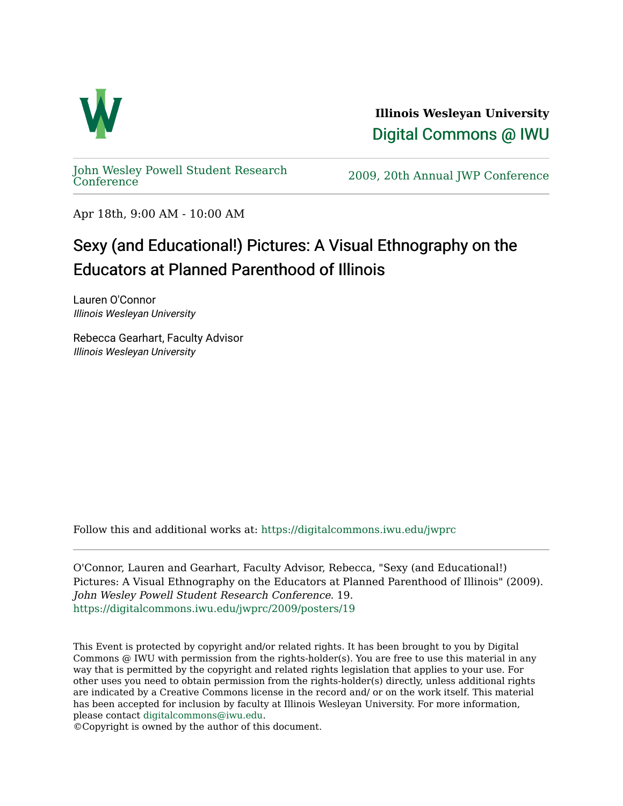

**Illinois Wesleyan University**  [Digital Commons @ IWU](https://digitalcommons.iwu.edu/) 

[John Wesley Powell Student Research](https://digitalcommons.iwu.edu/jwprc) 

2009, 20th Annual JWP [Conference](https://digitalcommons.iwu.edu/jwprc)

Apr 18th, 9:00 AM - 10:00 AM

## Sexy (and Educational!) Pictures: A Visual Ethnography on the Educators at Planned Parenthood of Illinois

Lauren O'Connor Illinois Wesleyan University

Rebecca Gearhart, Faculty Advisor Illinois Wesleyan University

Follow this and additional works at: [https://digitalcommons.iwu.edu/jwprc](https://digitalcommons.iwu.edu/jwprc?utm_source=digitalcommons.iwu.edu%2Fjwprc%2F2009%2Fposters%2F19&utm_medium=PDF&utm_campaign=PDFCoverPages) 

O'Connor, Lauren and Gearhart, Faculty Advisor, Rebecca, "Sexy (and Educational!) Pictures: A Visual Ethnography on the Educators at Planned Parenthood of Illinois" (2009). John Wesley Powell Student Research Conference. 19. [https://digitalcommons.iwu.edu/jwprc/2009/posters/19](https://digitalcommons.iwu.edu/jwprc/2009/posters/19?utm_source=digitalcommons.iwu.edu%2Fjwprc%2F2009%2Fposters%2F19&utm_medium=PDF&utm_campaign=PDFCoverPages)

This Event is protected by copyright and/or related rights. It has been brought to you by Digital Commons @ IWU with permission from the rights-holder(s). You are free to use this material in any way that is permitted by the copyright and related rights legislation that applies to your use. For other uses you need to obtain permission from the rights-holder(s) directly, unless additional rights are indicated by a Creative Commons license in the record and/ or on the work itself. This material has been accepted for inclusion by faculty at Illinois Wesleyan University. For more information, please contact [digitalcommons@iwu.edu.](mailto:digitalcommons@iwu.edu)

©Copyright is owned by the author of this document.